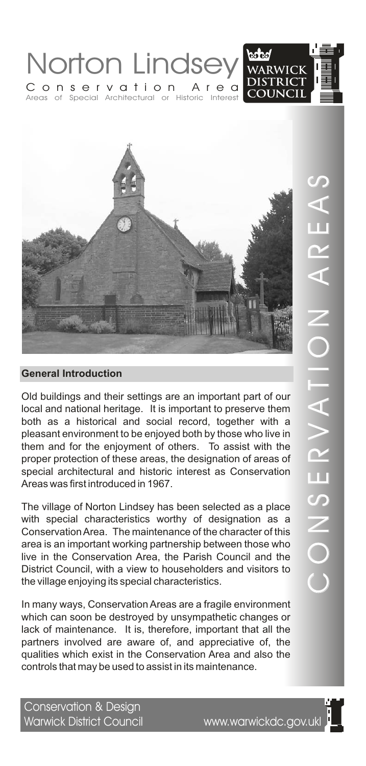



Old buildings and their settings are an important part of our local and national heritage. It is important to preserve them both as a historical and social record, together with a pleasant environment to be enjoyed both by those who live in them and for the enjoyment of others. To assist with the proper protection of these areas, the designation of areas of special architectural and historic interest as Conservation Areas was first introduced in 1967.

The village of Norton Lindsey has been selected as a place with special characteristics worthy of designation as a Conservation Area. The maintenance of the character of this area is an important working partnership between those who live in the Conservation Area, the Parish Council and the District Council, with a view to householders and visitors to the village enjoying its special characteristics.

In many ways, Conservation Areas are a fragile environment which can soon be destroyed by unsympathetic changes or lack of maintenance. It is, therefore, important that all the partners involved are aware of, and appreciative of, the qualities which exist in the Conservation Area and also the controls that may be used to assist in its maintenance.

Conservation & Design<br>Warwick District Council

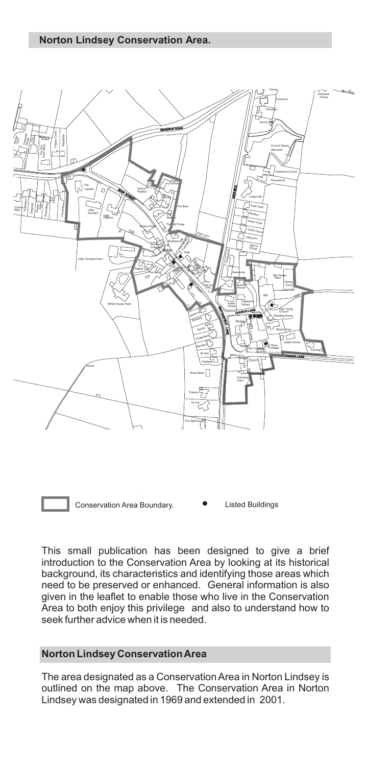

Conservation Area Boundary. <br> **•** Listed Buildings

This small publication has been designed to give a brief introduction to the Conservation Area by looking at its historical background, its characteristics and identifying those areas which need to be preserved or enhanced. General information is also given in the leaflet to enable those who live in the Conservation Area to both enjoy this privilege and also to understand how to seek further advice when it is needed.

# **Norton Lindsey Conservation Area**

The area designated as a Conservation Area in Norton Lindsey is outlined on the map above. The Conservation Area in Norton Lindsey was designated in 1969 and extended in 2001.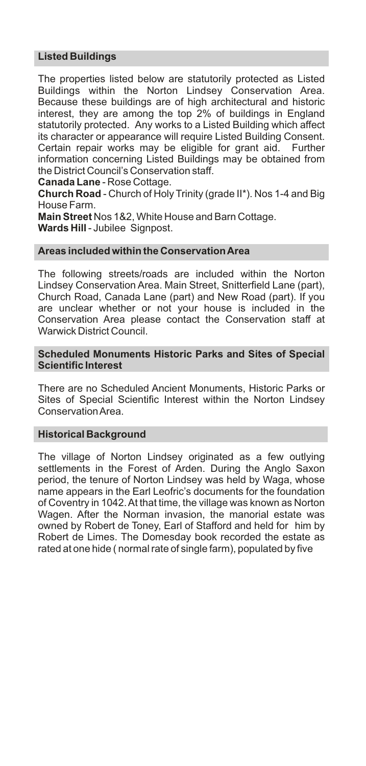# **Listed Buildings**

The properties listed below are statutorily protected as Listed Buildings within the Norton Lindsey Conservation Area. Because these buildings are of high architectural and historic interest, they are among the top 2% of buildings in England statutorily protected. Any works to a Listed Building which affect its character or appearance will require Listed Building Consent. Certain repair works may be eligible for grant aid. Further information concerning Listed Buildings may be obtained from the District Council's Conservation staff.

**Canada Lane** - Rose Cottage.

**Church Road** - Church of Holy Trinity (grade II\*). Nos 1-4 and Big House Farm.

**Main Street** Nos 1&2, White House and Barn Cottage. **Wards Hill**- Jubilee Signpost.

# **Areas included within the Conservation Area**

The following streets/roads are included within the Norton Lindsey Conservation Area. Main Street, Snitterfield Lane (part), Church Road, Canada Lane (part) and New Road (part). If you are unclear whether or not your house is included in the Conservation Area please contact the Conservation staff at Warwick District Council.

## **Scheduled Monuments Historic Parks and Sites of Special Scientific Interest**

There are no Scheduled Ancient Monuments, Historic Parks or Sites of Special Scientific Interest within the Norton Lindsey Conservation Area.

### **Historical Background**

The village of Norton Lindsey originated as a few outlying settlements in the Forest of Arden. During the Anglo Saxon period, the tenure of Norton Lindsey was held by Waga, whose name appears in the Earl Leofric's documents for the foundation of Coventry in 1042. At that time, the village was known as Norton Wagen. After the Norman invasion, the manorial estate was owned by Robert de Toney, Earl of Stafford and held for him by Robert de Limes. The Domesday book recorded the estate as rated at one hide ( normal rate of single farm), populated by five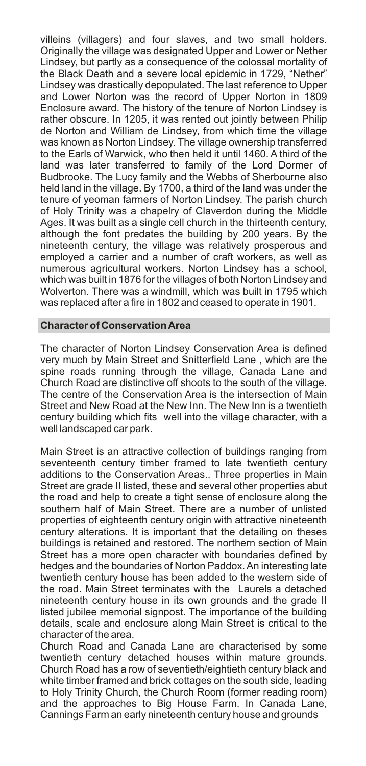villeins (villagers) and four slaves, and two small holders. Originally the village was designated Upper and Lower or Nether Lindsey, but partly as a consequence of the colossal mortality of the Black Death and a severe local epidemic in 1729, "Nether" Lindsey was drastically depopulated. The last reference to Upper and Lower Norton was the record of Upper Norton in 1809 Enclosure award. The history of the tenure of Norton Lindsey is rather obscure. In 1205, it was rented out jointly between Philip de Norton and William de Lindsey, from which time the village was known as Norton Lindsey. The village ownership transferred to the Earls of Warwick, who then held it until 1460. A third of the land was later transferred to family of the Lord Dormer of Budbrooke. The Lucy family and the Webbs of Sherbourne also held land in the village. By 1700, a third of the land was under the tenure of yeoman farmers of Norton Lindsey. The parish church of Holy Trinity was a chapelry of Claverdon during the Middle Ages. It was built as a single cell church in the thirteenth century, although the font predates the building by 200 years. By the nineteenth century, the village was relatively prosperous and employed a carrier and a number of craft workers, as well as numerous agricultural workers. Norton Lindsey has a school, which was built in 1876 for the villages of both Norton Lindsey and Wolverton. There was a windmill, which was built in 1795 which was replaced after a fire in 1802 and ceased to operate in 1901.

## **Character of Conservation Area**

The character of Norton Lindsey Conservation Area is defined very much by Main Street and Snitterfield Lane , which are the spine roads running through the village, Canada Lane and Church Road are distinctive off shoots to the south of the village. The centre of the Conservation Area is the intersection of Main Street and New Road at the New Inn. The New Inn is a twentieth century building which fits well into the village character, with a well landscaped car park.

Main Street is an attractive collection of buildings ranging from seventeenth century timber framed to late twentieth century additions to the Conservation Areas.. Three properties in Main Street are grade II listed, these and several other properties abut the road and help to create a tight sense of enclosure along the southern half of Main Street. There are a number of unlisted properties of eighteenth century origin with attractive nineteenth century alterations. It is important that the detailing on theses buildings is retained and restored. The northern section of Main Street has a more open character with boundaries defined by hedges and the boundaries of Norton Paddox. An interesting late twentieth century house has been added to the western side of the road. Main Street terminates with the Laurels a detached nineteenth century house in its own grounds and the grade II listed jubilee memorial signpost. The importance of the building details, scale and enclosure along Main Street is critical to the character of the area.

Church Road and Canada Lane are characterised by some twentieth century detached houses within mature grounds. Church Road has a row of seventieth/eightieth century black and white timber framed and brick cottages on the south side, leading to Holy Trinity Church, the Church Room (former reading room) and the approaches to Big House Farm. In Canada Lane, Cannings Farm an early nineteenth century house and grounds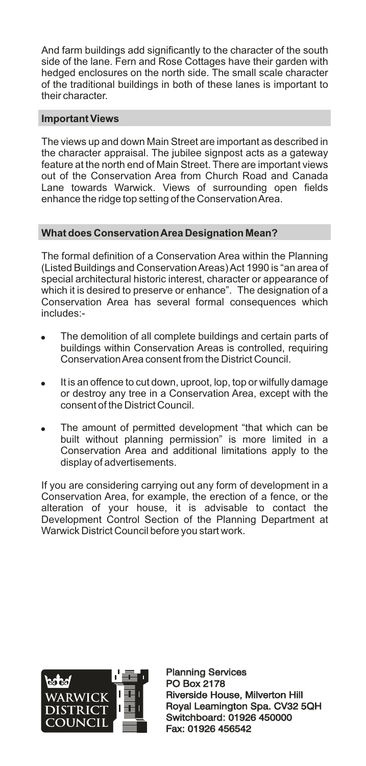And farm buildings add significantly to the character of the south side of the lane. Fern and Rose Cottages have their garden with hedged enclosures on the north side. The small scale character of the traditional buildings in both of these lanes is important to their character.

# **Important Views**

The views up and down Main Street are important as described in the character appraisal. The jubilee signpost acts as a gateway feature at the north end of Main Street. There are important views out of the Conservation Area from Church Road and Canada Lane towards Warwick. Views of surrounding open fields enhance the ridge top setting of the Conservation Area.

# **What does Conservation Area Designation Mean?**

The formal definition of a Conservation Area within the Planning (Listed Buildings and Conservation Areas) Act 1990 is "an area of special architectural historic interest, character or appearance of which it is desired to preserve or enhance". The designation of a Conservation Area has several formal consequences which includes:-

- The demolition of all complete buildings and certain parts of buildings within Conservation Areas is controlled, requiring Conservation Area consent from the District Council.
- It is an offence to cut down, uproot, lop, top or wilfully damage or destroy any tree in a Conservation Area, except with the consent of the District Council.
- The amount of permitted development "that which can be built without planning permission" is more limited in a Conservation Area and additional limitations apply to the display of advertisements.

If you are considering carrying out any form of development in a Conservation Area, for example, the erection of a fence, or the alteration of your house, it is advisable to contact the Development Control Section of the Planning Department at Warwick District Council before you start work.



Planning Services PO Box 2178 Planning Services<br>PO Box 2178<br>Riverside House, Milverton Hill Royal Leamington Spa. CV32 5QH Switchboard: 01926 450000 Fax: 01926 456542 Royal Leamington Spa. CV32<br>Switchboard: 01926 450000<br>Fax: 01926 456542